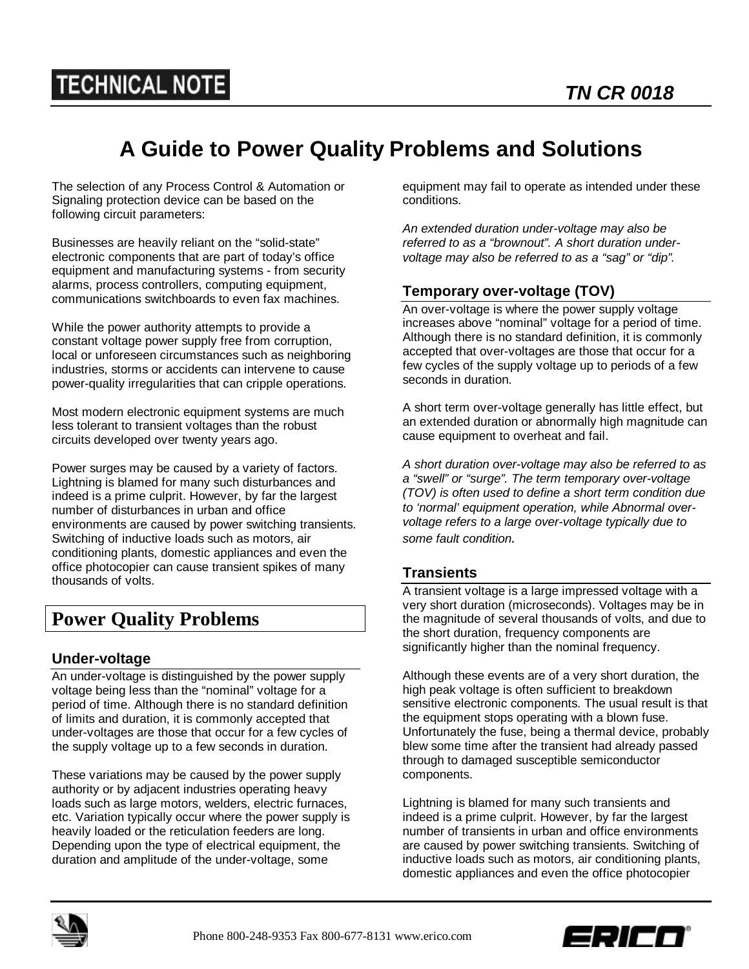# **A Guide to Power Quality Problems and Solutions**

The selection of any Process Control & Automation or Signaling protection device can be based on the following circuit parameters:

Businesses are heavily reliant on the "solid-state" electronic components that are part of today's office equipment and manufacturing systems - from security alarms, process controllers, computing equipment, communications switchboards to even fax machines.

While the power authority attempts to provide a constant voltage power supply free from corruption, local or unforeseen circumstances such as neighboring industries, storms or accidents can intervene to cause power-quality irregularities that can cripple operations.

Most modern electronic equipment systems are much less tolerant to transient voltages than the robust circuits developed over twenty years ago.

Power surges may be caused by a variety of factors. Lightning is blamed for many such disturbances and indeed is a prime culprit. However, by far the largest number of disturbances in urban and office environments are caused by power switching transients. Switching of inductive loads such as motors, air conditioning plants, domestic appliances and even the office photocopier can cause transient spikes of many thousands of volts.

# **Power Quality Problems**

# **Under-voltage**

An under-voltage is distinguished by the power supply voltage being less than the "nominal" voltage for a period of time. Although there is no standard definition of limits and duration, it is commonly accepted that under-voltages are those that occur for a few cycles of the supply voltage up to a few seconds in duration.

These variations may be caused by the power supply authority or by adjacent industries operating heavy loads such as large motors, welders, electric furnaces, etc. Variation typically occur where the power supply is heavily loaded or the reticulation feeders are long. Depending upon the type of electrical equipment, the duration and amplitude of the under-voltage, some

equipment may fail to operate as intended under these conditions.

*An extended duration under-voltage may also be referred to as a "brownout". A short duration undervoltage may also be referred to as a "sag" or "dip".*

# **Temporary over-voltage (TOV)**

An over-voltage is where the power supply voltage increases above "nominal" voltage for a period of time. Although there is no standard definition, it is commonly accepted that over-voltages are those that occur for a few cycles of the supply voltage up to periods of a few seconds in duration.

A short term over-voltage generally has little effect, but an extended duration or abnormally high magnitude can cause equipment to overheat and fail.

*A short duration over-voltage may also be referred to as a "swell" or "surge". The term temporary over-voltage (TOV) is often used to define a short term condition due to 'normal' equipment operation, while Abnormal overvoltage refers to a large over-voltage typically due to some fault condition.*

# **Transients**

A transient voltage is a large impressed voltage with a very short duration (microseconds). Voltages may be in the magnitude of several thousands of volts, and due to the short duration, frequency components are significantly higher than the nominal frequency.

Although these events are of a very short duration, the high peak voltage is often sufficient to breakdown sensitive electronic components. The usual result is that the equipment stops operating with a blown fuse. Unfortunately the fuse, being a thermal device, probably blew some time after the transient had already passed through to damaged susceptible semiconductor components.

Lightning is blamed for many such transients and indeed is a prime culprit. However, by far the largest number of transients in urban and office environments are caused by power switching transients. Switching of inductive loads such as motors, air conditioning plants, domestic appliances and even the office photocopier



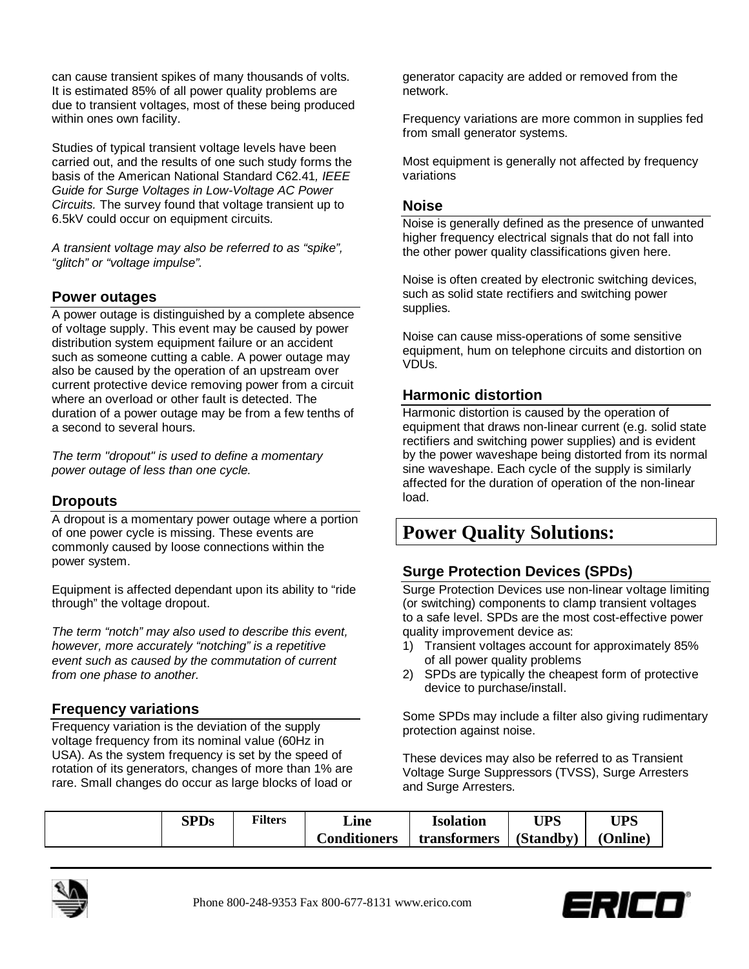can cause transient spikes of many thousands of volts. It is estimated 85% of all power quality problems are due to transient voltages, most of these being produced within ones own facility.

Studies of typical transient voltage levels have been carried out, and the results of one such study forms the basis of the American National Standard C62.41*, IEEE Guide for Surge Voltages in Low-Voltage AC Power Circuits.* The survey found that voltage transient up to 6.5kV could occur on equipment circuits.

*A transient voltage may also be referred to as "spike", "glitch" or "voltage impulse".*

# **Power outages**

A power outage is distinguished by a complete absence of voltage supply. This event may be caused by power distribution system equipment failure or an accident such as someone cutting a cable. A power outage may also be caused by the operation of an upstream over current protective device removing power from a circuit where an overload or other fault is detected. The duration of a power outage may be from a few tenths of a second to several hours.

*The term "dropout" is used to define a momentary power outage of less than one cycle.*

# **Dropouts**

A dropout is a momentary power outage where a portion of one power cycle is missing. These events are commonly caused by loose connections within the power system.

Equipment is affected dependant upon its ability to "ride through" the voltage dropout.

*The term "notch" may also used to describe this event, however, more accurately "notching" is a repetitive event such as caused by the commutation of current from one phase to another.*

# **Frequency variations**

Frequency variation is the deviation of the supply voltage frequency from its nominal value (60Hz in USA). As the system frequency is set by the speed of rotation of its generators, changes of more than 1% are rare. Small changes do occur as large blocks of load or

generator capacity are added or removed from the network.

Frequency variations are more common in supplies fed from small generator systems.

Most equipment is generally not affected by frequency variations

#### **Noise**

Noise is generally defined as the presence of unwanted higher frequency electrical signals that do not fall into the other power quality classifications given here.

Noise is often created by electronic switching devices, such as solid state rectifiers and switching power supplies.

Noise can cause miss-operations of some sensitive equipment, hum on telephone circuits and distortion on VDUs.

# **Harmonic distortion**

Harmonic distortion is caused by the operation of equipment that draws non-linear current (e.g. solid state rectifiers and switching power supplies) and is evident by the power waveshape being distorted from its normal sine waveshape. Each cycle of the supply is similarly affected for the duration of operation of the non-linear load.

# **Power Quality Solutions:**

# **Surge Protection Devices (SPDs)**

Surge Protection Devices use non-linear voltage limiting (or switching) components to clamp transient voltages to a safe level. SPDs are the most cost-effective power quality improvement device as:

- 1) Transient voltages account for approximately 85% of all power quality problems
- 2) SPDs are typically the cheapest form of protective device to purchase/install.

Some SPDs may include a filter also giving rudimentary protection against noise.

These devices may also be referred to as Transient Voltage Surge Suppressors (TVSS), Surge Arresters and Surge Arresters.

| $\mathbf{P}$ <b>D</b> <sub>S</sub> | <b>Filters</b> | ∟ine                | Isolation    | LIDC      | <b>UPS</b>    |
|------------------------------------|----------------|---------------------|--------------|-----------|---------------|
|                                    |                | <b>Conditioners</b> | transformers | (Standby) | <b>Online</b> |



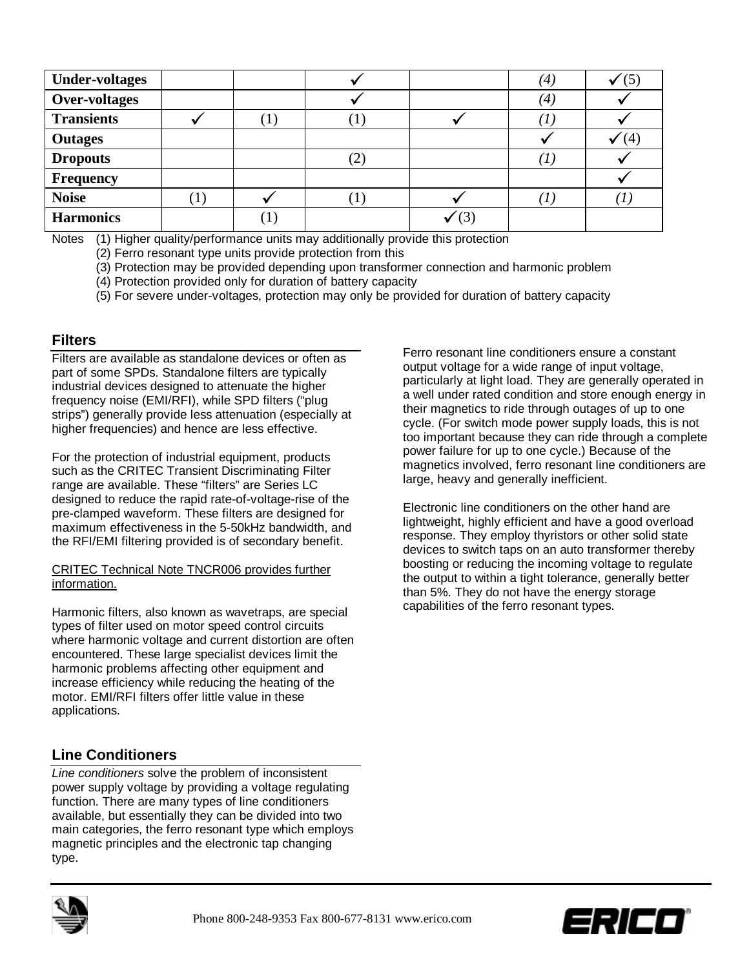| <b>Under-voltages</b> |         |  | (4) |                 |
|-----------------------|---------|--|-----|-----------------|
| <b>Over-voltages</b>  |         |  | (4) |                 |
| <b>Transients</b>     |         |  |     |                 |
| <b>Outages</b>        |         |  |     |                 |
| <b>Dropouts</b>       |         |  |     |                 |
| Frequency             |         |  |     |                 |
| <b>Noise</b>          | $\perp$ |  |     | $\mathcal{I}$ . |
| <b>Harmonics</b>      |         |  |     |                 |

Notes (1) Higher quality/performance units may additionally provide this protection

(2) Ferro resonant type units provide protection from this

(3) Protection may be provided depending upon transformer connection and harmonic problem

- (4) Protection provided only for duration of battery capacity
- (5) For severe under-voltages, protection may only be provided for duration of battery capacity

### **Filters**

Filters are available as standalone devices or often as part of some SPDs. Standalone filters are typically industrial devices designed to attenuate the higher frequency noise (EMI/RFI), while SPD filters ("plug strips") generally provide less attenuation (especially at higher frequencies) and hence are less effective.

For the protection of industrial equipment, products such as the CRITEC Transient Discriminating Filter range are available. These "filters" are Series LC designed to reduce the rapid rate-of-voltage-rise of the pre-clamped waveform. These filters are designed for maximum effectiveness in the 5-50kHz bandwidth, and the RFI/EMI filtering provided is of secondary benefit.

#### CRITEC Technical Note TNCR006 provides further information.

Harmonic filters, also known as wavetraps, are special types of filter used on motor speed control circuits where harmonic voltage and current distortion are often encountered. These large specialist devices limit the harmonic problems affecting other equipment and increase efficiency while reducing the heating of the motor. EMI/RFI filters offer little value in these applications.

# **Line Conditioners**

*Line conditioners* solve the problem of inconsistent power supply voltage by providing a voltage regulating function. There are many types of line conditioners available, but essentially they can be divided into two main categories, the ferro resonant type which employs magnetic principles and the electronic tap changing type.

Ferro resonant line conditioners ensure a constant output voltage for a wide range of input voltage, particularly at light load. They are generally operated in a well under rated condition and store enough energy in their magnetics to ride through outages of up to one cycle. (For switch mode power supply loads, this is not too important because they can ride through a complete power failure for up to one cycle.) Because of the magnetics involved, ferro resonant line conditioners are large, heavy and generally inefficient.

Electronic line conditioners on the other hand are lightweight, highly efficient and have a good overload response. They employ thyristors or other solid state devices to switch taps on an auto transformer thereby boosting or reducing the incoming voltage to regulate the output to within a tight tolerance, generally better than 5%. They do not have the energy storage capabilities of the ferro resonant types.